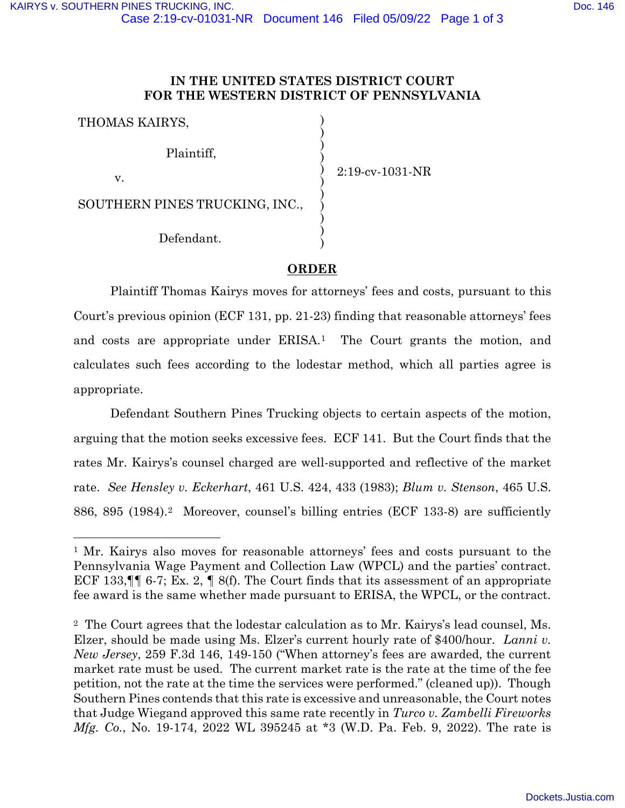# **IN THE UNITED STATES DISTRICT COURT FOR THE WESTERN DISTRICT OF PENNSYLVANIA**

| THOMAS KAIRYS,                 |                 |
|--------------------------------|-----------------|
| Plaintiff,                     |                 |
| v.                             | 2:19-cv-1031-NR |
| SOUTHERN PINES TRUCKING, INC., |                 |
| Defendant.                     |                 |

# **ORDER**

Plaintiff Thomas Kairys moves for attorneys' fees and costs, pursuant to this Court's previous opinion [\(ECF 131,](https://ecf.pawd.uscourts.gov/doc1/15718640149) pp. 21-23) finding that reasonable attorneys' fees and costs are appropriate under ERISA.<sup>[1](#page-0-0)</sup> The Court grants the motion, and calculates such fees according to the lodestar method, which all parties agree is appropriate.

Defendant Southern Pines Trucking objects to certain aspects of the motion, arguing that the motion seeks excessive fees. [ECF 141.](https://ecf.pawd.uscourts.gov/doc1/15718689427) But the Court finds that the rates Mr. Kairys's counsel charged are well-supported and reflective of the market rate. *See [Hensley v. Eckerhart](https://www.westlaw.com/Document/I1773bb109c1f11d993e6d35cc61aab4a/View/FullText.html?transitionType=Default&contextData=(sc.Default)&VR=3.0&RS=da3.0&fragmentIdentifier=co_pp_sp_780_433)*[, 461 U.S. 424, 433 \(1983\);](https://www.westlaw.com/Document/I1773bb109c1f11d993e6d35cc61aab4a/View/FullText.html?transitionType=Default&contextData=(sc.Default)&VR=3.0&RS=da3.0&fragmentIdentifier=co_pp_sp_780_433) *[Blum v. Stenson](https://www.westlaw.com/Document/I178e20d49c1f11d993e6d35cc61aab4a/View/FullText.html?transitionType=Default&contextData=(sc.Default)&VR=3.0&RS=da3.0&fragmentIdentifier=co_pp_sp_780_895)*[, 465 U.S.](https://www.westlaw.com/Document/I178e20d49c1f11d993e6d35cc61aab4a/View/FullText.html?transitionType=Default&contextData=(sc.Default)&VR=3.0&RS=da3.0&fragmentIdentifier=co_pp_sp_780_895)  [886, 895 \(1984\).](https://www.westlaw.com/Document/I178e20d49c1f11d993e6d35cc61aab4a/View/FullText.html?transitionType=Default&contextData=(sc.Default)&VR=3.0&RS=da3.0&fragmentIdentifier=co_pp_sp_780_895) [2](#page-0-1) Moreover, counsel's billing entries [\(ECF 133-8\)](https://ecf.pawd.uscourts.gov/doc1/15718660210) are sufficiently

<span id="page-0-0"></span><sup>1</sup> Mr. Kairys also moves for reasonable attorneys' fees and costs pursuant to the Pennsylvania Wage Payment and Collection Law (WPCL) and the parties' contract. [ECF 133,](https://ecf.pawd.uscourts.gov/doc1/15718660202)¶¶ 6-7; Ex. 2, ¶ 8(f). The Court finds that its assessment of an appropriate fee award is the same whether made pursuant to ERISA, the WPCL, or the contract.

<span id="page-0-1"></span><sup>2</sup>The Court agrees that the lodestar calculation as to Mr. Kairys's lead counsel, Ms. Elzer, should be made using Ms. Elzer's current hourly rate of \$400/hour. *[Lanni v.](https://www.westlaw.com/Document/I0249bab479b811d98c82a53fc8ac8757/View/FullText.html?transitionType=Default&contextData=(sc.Default)&VR=3.0&RS=da3.0&fragmentIdentifier=co_pp_sp_506_149)  New Jersey*[, 259 F.3d 146, 149-150](https://www.westlaw.com/Document/I0249bab479b811d98c82a53fc8ac8757/View/FullText.html?transitionType=Default&contextData=(sc.Default)&VR=3.0&RS=da3.0&fragmentIdentifier=co_pp_sp_506_149) ("When attorney's fees are awarded, the current market rate must be used. The current market rate is the rate at the time of the fee petition, not the rate at the time the services were performed." (cleaned up)). Though Southern Pines contends that this rate is excessive and unreasonable, the Court notes that Judge Wiegand approved this same rate recently in *[Turco v. Zambelli Fireworks](https://www.westlaw.com/Document/Idbbe90908a6211ecb8c3e5aec2742444/View/FullText.html?transitionType=Default&contextData=(sc.Default)&VR=3.0&RS=da3.0&fragmentIdentifier=co_pp_sp_999_3)  Mfg. Co.*[, No. 19-174, 2022 WL](https://www.westlaw.com/Document/Idbbe90908a6211ecb8c3e5aec2742444/View/FullText.html?transitionType=Default&contextData=(sc.Default)&VR=3.0&RS=da3.0&fragmentIdentifier=co_pp_sp_999_3) [395245 at \\*3 \(W.D. Pa. Feb. 9, 2022\).](https://www.westlaw.com/Document/Idbbe90908a6211ecb8c3e5aec2742444/View/FullText.html?transitionType=Default&contextData=(sc.Default)&VR=3.0&RS=da3.0&fragmentIdentifier=co_pp_sp_999_3) The rate is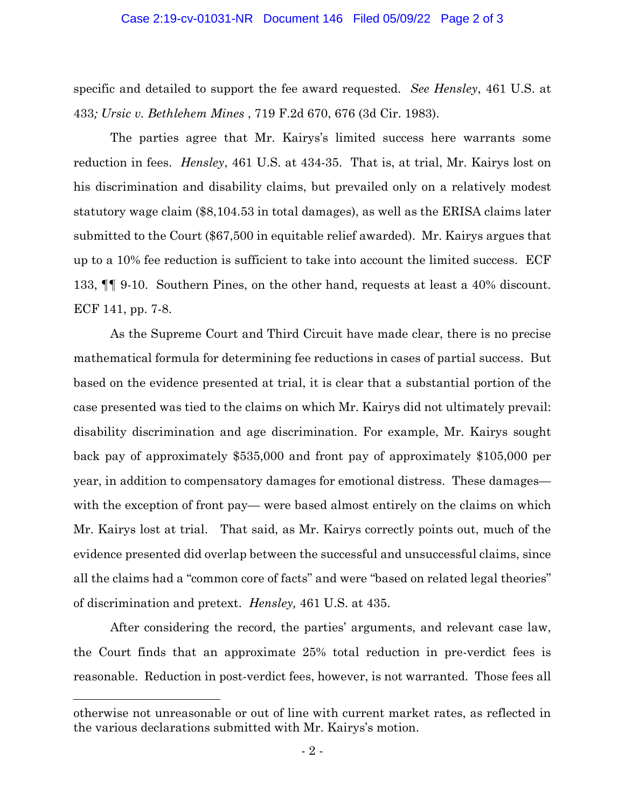## Case 2:19-cv-01031-NR Document 146 Filed 05/09/22 Page 2 of 3

specific and detailed to support the fee award requested. *See Hensley*[, 461 U.S. at](https://www.westlaw.com/Document/I1773bb109c1f11d993e6d35cc61aab4a/View/FullText.html?transitionType=Default&contextData=(sc.Default)&VR=3.0&RS=da3.0&fragmentIdentifier=co_pp_sp_780_433)  [433](https://www.westlaw.com/Document/I1773bb109c1f11d993e6d35cc61aab4a/View/FullText.html?transitionType=Default&contextData=(sc.Default)&VR=3.0&RS=da3.0&fragmentIdentifier=co_pp_sp_780_433)*; [Ursic v. Bethlehem Mines](https://www.westlaw.com/Document/I1e505195941311d9bdd1cfdd544ca3a4/View/FullText.html?transitionType=Default&contextData=(sc.Default)&VR=3.0&RS=da3.0&fragmentIdentifier=co_pp_sp_350_676)* [, 719 F.2d 670, 676 \(3d Cir. 1983\).](https://www.westlaw.com/Document/I1e505195941311d9bdd1cfdd544ca3a4/View/FullText.html?transitionType=Default&contextData=(sc.Default)&VR=3.0&RS=da3.0&fragmentIdentifier=co_pp_sp_350_676)

The parties agree that Mr. Kairys's limited success here warrants some reduction in fees. *Hensley*[, 461 U.S. at 434-35.](https://www.westlaw.com/Document/I1773bb109c1f11d993e6d35cc61aab4a/View/FullText.html?transitionType=Default&contextData=(sc.Default)&VR=3.0&RS=da3.0&fragmentIdentifier=co_pp_sp_780_434) That is, at trial, Mr. Kairys lost on his discrimination and disability claims, but prevailed only on a relatively modest statutory wage claim (\$8,104.53 in total damages), as well as the ERISA claims later submitted to the Court (\$67,500 in equitable relief awarded). Mr. Kairys argues that up to a 10% fee reduction is sufficient to take into account the limited success. [ECF](https://ecf.pawd.uscourts.gov/doc1/15718660202)  [133,](https://ecf.pawd.uscourts.gov/doc1/15718660202) ¶¶ 9-10. Southern Pines, on the other hand, requests at least a 40% discount. [ECF 141,](https://ecf.pawd.uscourts.gov/doc1/15718689427) pp. 7-8.

As the Supreme Court and Third Circuit have made clear, there is no precise mathematical formula for determining fee reductions in cases of partial success. But based on the evidence presented at trial, it is clear that a substantial portion of the case presented was tied to the claims on which Mr. Kairys did not ultimately prevail: disability discrimination and age discrimination. For example, Mr. Kairys sought back pay of approximately \$535,000 and front pay of approximately \$105,000 per year, in addition to compensatory damages for emotional distress. These damages with the exception of front pay— were based almost entirely on the claims on which Mr. Kairys lost at trial. That said, as Mr. Kairys correctly points out, much of the evidence presented did overlap between the successful and unsuccessful claims, since all the claims had a "common core of facts" and were "based on related legal theories" of discrimination and pretext. *[Hensley,](https://www.westlaw.com/Document/I1773bb109c1f11d993e6d35cc61aab4a/View/FullText.html?transitionType=Default&contextData=(sc.Default)&VR=3.0&RS=da3.0&fragmentIdentifier=co_pp_sp_780_435)* [461 U.S. at 435.](https://www.westlaw.com/Document/I1773bb109c1f11d993e6d35cc61aab4a/View/FullText.html?transitionType=Default&contextData=(sc.Default)&VR=3.0&RS=da3.0&fragmentIdentifier=co_pp_sp_780_435)

After considering the record, the parties' arguments, and relevant case law, the Court finds that an approximate 25% total reduction in pre-verdict fees is reasonable. Reduction in post-verdict fees, however, is not warranted. Those fees all

otherwise not unreasonable or out of line with current market rates, as reflected in the various declarations submitted with Mr. Kairys's motion.